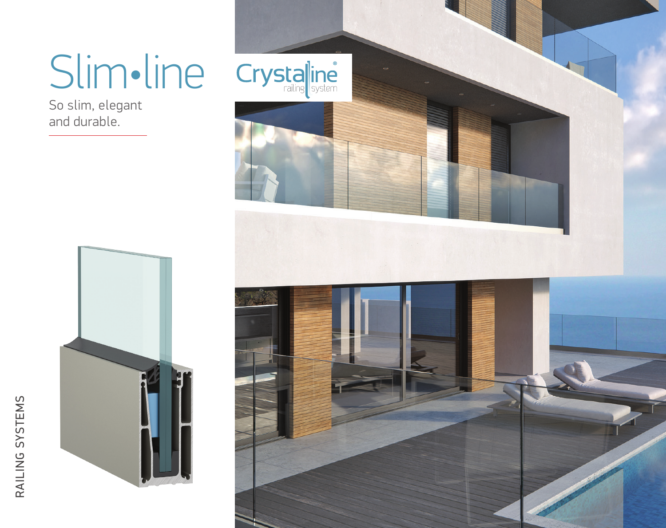# Slim•line

So slim, elegant and durable.



RAILING SYSTEMS